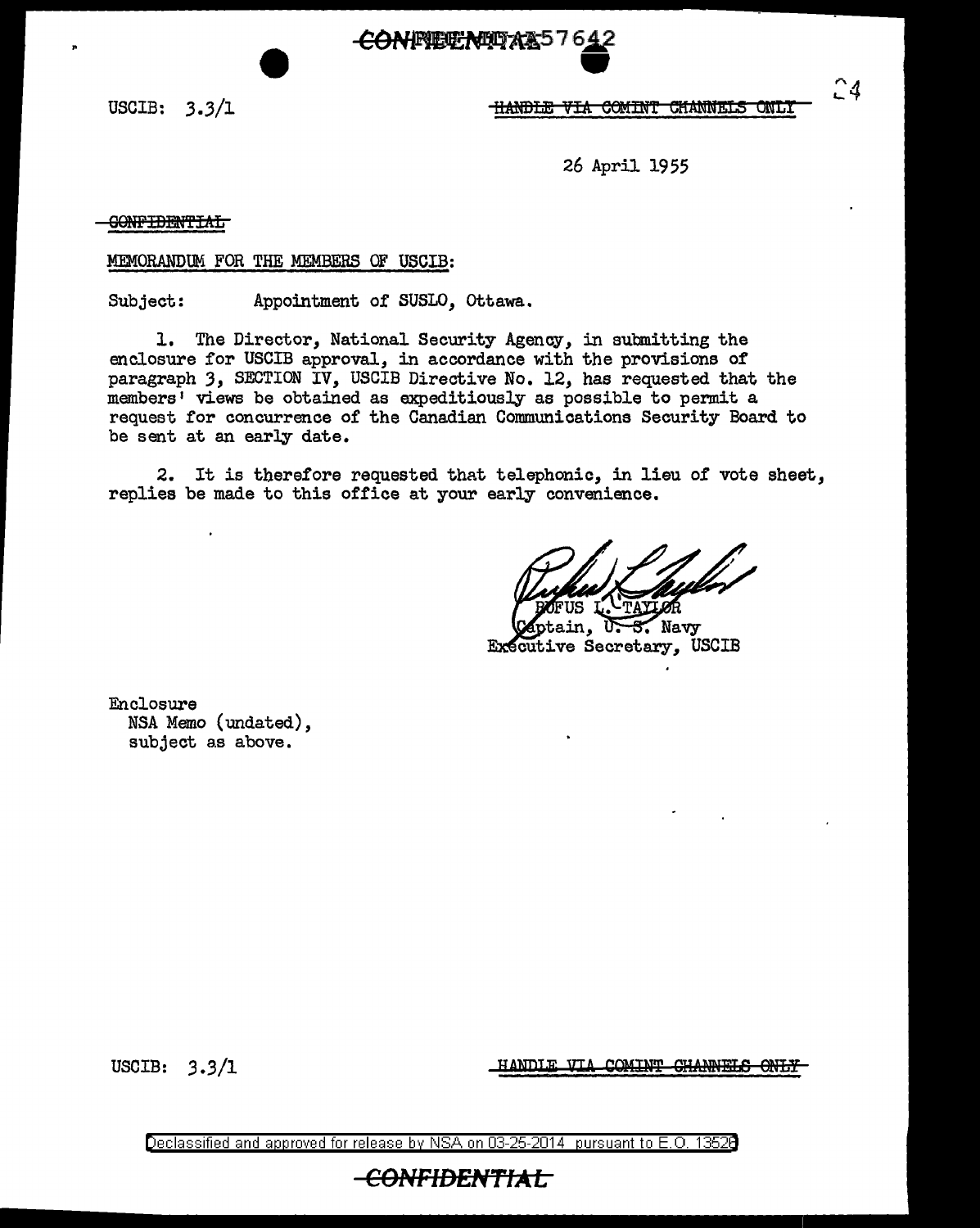CONFIETENTAL57642

USCIB: 3.3/1

**HANDLE VIA COMINT CHANNELS ONLY** 

24

26 April 1955

<del>CONFIDENTIAL</del>

MEMORANDUM FOR THE MEMBERS OF USCIB:

Subject: Appointment of SUSLO, Ottawa.

1. The Director, National Security Agency, in submitting the enclosure for USCIB approval, in accordance with the provisions of paragraph *3,* SECTION IV, USCIB Directive No. 12, has requested that the members' views be obtained as expeditiously as possible to permit a request for concurrence of the Canadian Communications Security Board to be sent at an early date.

2. It is therefore requested that telephonic, in lieu of vote sheet, replies be made to this office at your early convenience.

5. Navy UΣ ain. Executive Secretary, USCIB

Enclosure NSA Memo (undated), subject as above.

USCIB:  $3.3/1$  HANDIE VIA COMINT GHANNELS ONLY

Declassified and approved for release by NSA on 03-25-2014 pursuant to E. 0. 1352B

## <del>-CONFIDENTIAL </del>